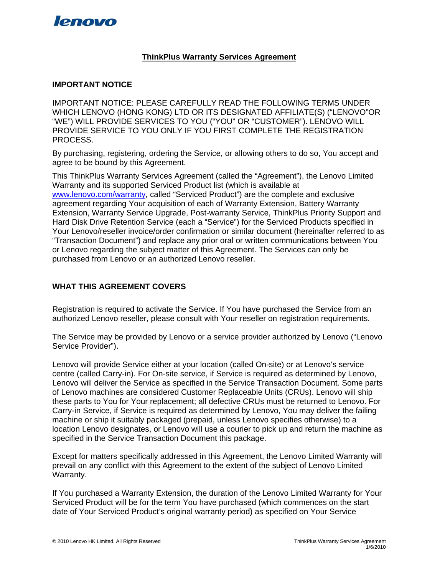

## **ThinkPlus Warranty Services Agreement**

## **IMPORTANT NOTICE**

IMPORTANT NOTICE: PLEASE CAREFULLY READ THE FOLLOWING TERMS UNDER WHICH LENOVO (HONG KONG) LTD OR ITS DESIGNATED AFFILIATE(S) ("LENOVO"OR "WE") WILL PROVIDE SERVICES TO YOU ("YOU" OR "CUSTOMER"). LENOVO WILL PROVIDE SERVICE TO YOU ONLY IF YOU FIRST COMPLETE THE REGISTRATION PROCESS.

By purchasing, registering, ordering the Service, or allowing others to do so, You accept and agree to be bound by this Agreement.

This ThinkPlus Warranty Services Agreement (called the "Agreement"), the Lenovo Limited Warranty and its supported Serviced Product list (which is available at [www.lenovo.com/warranty](http://www.lenovo.com/warranty), called "Serviced Product") are the complete and exclusive agreement regarding Your acquisition of each of Warranty Extension, Battery Warranty Extension, Warranty Service Upgrade, Post-warranty Service, ThinkPlus Priority Support and Hard Disk Drive Retention Service (each a "Service") for the Serviced Products specified in Your Lenovo/reseller invoice/order confirmation or similar document (hereinafter referred to as "Transaction Document") and replace any prior oral or written communications between You or Lenovo regarding the subject matter of this Agreement. The Services can only be purchased from Lenovo or an authorized Lenovo reseller.

## **WHAT THIS AGREEMENT COVERS**

Registration is required to activate the Service. If You have purchased the Service from an authorized Lenovo reseller, please consult with Your reseller on registration requirements.

The Service may be provided by Lenovo or a service provider authorized by Lenovo ("Lenovo Service Provider").

Lenovo will provide Service either at your location (called On-site) or at Lenovo's service centre (called Carry-in). For On-site service, if Service is required as determined by Lenovo, Lenovo will deliver the Service as specified in the Service Transaction Document. Some parts of Lenovo machines are considered Customer Replaceable Units (CRUs). Lenovo will ship these parts to You for Your replacement; all defective CRUs must be returned to Lenovo. For Carry-in Service, if Service is required as determined by Lenovo, You may deliver the failing machine or ship it suitably packaged (prepaid, unless Lenovo specifies otherwise) to a location Lenovo designates, or Lenovo will use a courier to pick up and return the machine as specified in the Service Transaction Document this package.

Except for matters specifically addressed in this Agreement, the Lenovo Limited Warranty will prevail on any conflict with this Agreement to the extent of the subject of Lenovo Limited Warranty.

If You purchased a Warranty Extension, the duration of the Lenovo Limited Warranty for Your Serviced Product will be for the term You have purchased (which commences on the start date of Your Serviced Product's original warranty period) as specified on Your Service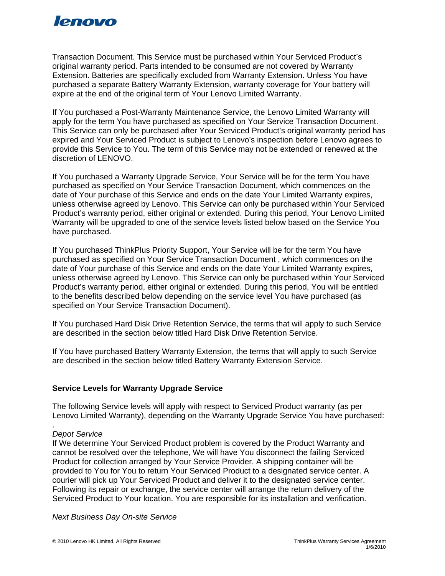

Transaction Document. This Service must be purchased within Your Serviced Product's original warranty period. Parts intended to be consumed are not covered by Warranty Extension. Batteries are specifically excluded from Warranty Extension. Unless You have purchased a separate Battery Warranty Extension, warranty coverage for Your battery will expire at the end of the original term of Your Lenovo Limited Warranty.

If You purchased a Post-Warranty Maintenance Service, the Lenovo Limited Warranty will apply for the term You have purchased as specified on Your Service Transaction Document. This Service can only be purchased after Your Serviced Product's original warranty period has expired and Your Serviced Product is subject to Lenovo's inspection before Lenovo agrees to provide this Service to You. The term of this Service may not be extended or renewed at the discretion of LENOVO.

If You purchased a Warranty Upgrade Service, Your Service will be for the term You have purchased as specified on Your Service Transaction Document, which commences on the date of Your purchase of this Service and ends on the date Your Limited Warranty expires, unless otherwise agreed by Lenovo. This Service can only be purchased within Your Serviced Product's warranty period, either original or extended. During this period, Your Lenovo Limited Warranty will be upgraded to one of the service levels listed below based on the Service You have purchased.

If You purchased ThinkPlus Priority Support, Your Service will be for the term You have purchased as specified on Your Service Transaction Document , which commences on the date of Your purchase of this Service and ends on the date Your Limited Warranty expires, unless otherwise agreed by Lenovo. This Service can only be purchased within Your Serviced Product's warranty period, either original or extended. During this period, You will be entitled to the benefits described below depending on the service level You have purchased (as specified on Your Service Transaction Document).

If You purchased Hard Disk Drive Retention Service, the terms that will apply to such Service are described in the section below titled Hard Disk Drive Retention Service.

If You have purchased Battery Warranty Extension, the terms that will apply to such Service are described in the section below titled Battery Warranty Extension Service.

## **Service Levels for Warranty Upgrade Service**

The following Service levels will apply with respect to Serviced Product warranty (as per Lenovo Limited Warranty), depending on the Warranty Upgrade Service You have purchased:

#### *Depot Service*

.

If We determine Your Serviced Product problem is covered by the Product Warranty and cannot be resolved over the telephone, We will have You disconnect the failing Serviced Product for collection arranged by Your Service Provider. A shipping container will be provided to You for You to return Your Serviced Product to a designated service center. A courier will pick up Your Serviced Product and deliver it to the designated service center. Following its repair or exchange, the service center will arrange the return delivery of the Serviced Product to Your location. You are responsible for its installation and verification.

*Next Business Day On-site Service*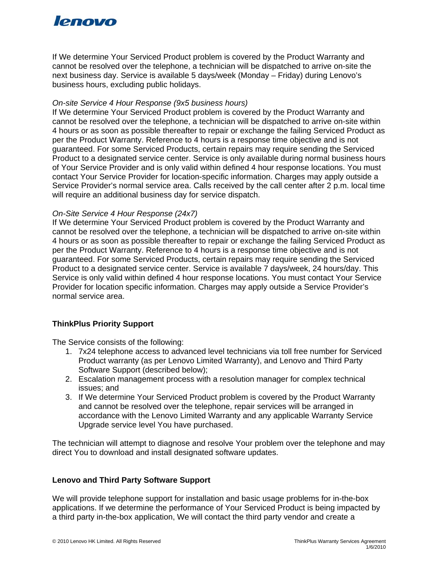# lenovo

If We determine Your Serviced Product problem is covered by the Product Warranty and cannot be resolved over the telephone, a technician will be dispatched to arrive on-site the next business day. Service is available 5 days/week (Monday – Friday) during Lenovo's business hours, excluding public holidays.

## *On-site Service 4 Hour Response (9x5 business hours)*

If We determine Your Serviced Product problem is covered by the Product Warranty and cannot be resolved over the telephone, a technician will be dispatched to arrive on-site within 4 hours or as soon as possible thereafter to repair or exchange the failing Serviced Product as per the Product Warranty. Reference to 4 hours is a response time objective and is not guaranteed. For some Serviced Products, certain repairs may require sending the Serviced Product to a designated service center. Service is only available during normal business hours of Your Service Provider and is only valid within defined 4 hour response locations. You must contact Your Service Provider for location-specific information. Charges may apply outside a Service Provider's normal service area. Calls received by the call center after 2 p.m. local time will require an additional business day for service dispatch.

## *On-Site Service 4 Hour Response (24x7)*

If We determine Your Serviced Product problem is covered by the Product Warranty and cannot be resolved over the telephone, a technician will be dispatched to arrive on-site within 4 hours or as soon as possible thereafter to repair or exchange the failing Serviced Product as per the Product Warranty. Reference to 4 hours is a response time objective and is not guaranteed. For some Serviced Products, certain repairs may require sending the Serviced Product to a designated service center. Service is available 7 days/week, 24 hours/day. This Service is only valid within defined 4 hour response locations. You must contact Your Service Provider for location specific information. Charges may apply outside a Service Provider's normal service area.

# **ThinkPlus Priority Support**

The Service consists of the following:

- 1. 7x24 telephone access to advanced level technicians via toll free number for Serviced Product warranty (as per Lenovo Limited Warranty), and Lenovo and Third Party Software Support (described below);
- 2. Escalation management process with a resolution manager for complex technical issues; and
- 3. If We determine Your Serviced Product problem is covered by the Product Warranty and cannot be resolved over the telephone, repair services will be arranged in accordance with the Lenovo Limited Warranty and any applicable Warranty Service Upgrade service level You have purchased.

The technician will attempt to diagnose and resolve Your problem over the telephone and may direct You to download and install designated software updates.

## **Lenovo and Third Party Software Support**

We will provide telephone support for installation and basic usage problems for in-the-box applications. If we determine the performance of Your Serviced Product is being impacted by a third party in-the-box application, We will contact the third party vendor and create a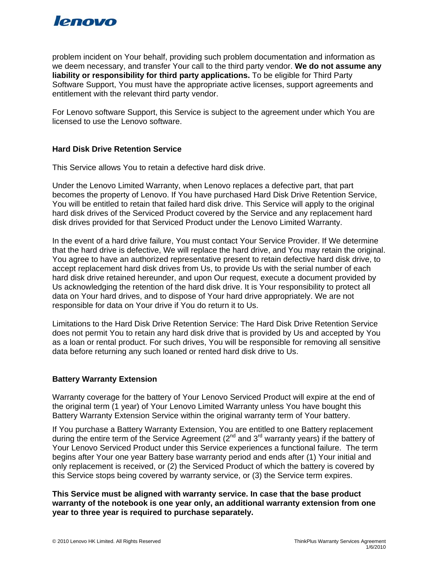

problem incident on Your behalf, providing such problem documentation and information as we deem necessary, and transfer Your call to the third party vendor. **We do not assume any liability or responsibility for third party applications.** To be eligible for Third Party Software Support, You must have the appropriate active licenses, support agreements and entitlement with the relevant third party vendor.

For Lenovo software Support, this Service is subject to the agreement under which You are licensed to use the Lenovo software.

## **Hard Disk Drive Retention Service**

This Service allows You to retain a defective hard disk drive.

Under the Lenovo Limited Warranty, when Lenovo replaces a defective part, that part becomes the property of Lenovo. If You have purchased Hard Disk Drive Retention Service, You will be entitled to retain that failed hard disk drive. This Service will apply to the original hard disk drives of the Serviced Product covered by the Service and any replacement hard disk drives provided for that Serviced Product under the Lenovo Limited Warranty.

In the event of a hard drive failure, You must contact Your Service Provider. If We determine that the hard drive is defective, We will replace the hard drive, and You may retain the original. You agree to have an authorized representative present to retain defective hard disk drive, to accept replacement hard disk drives from Us, to provide Us with the serial number of each hard disk drive retained hereunder, and upon Our request, execute a document provided by Us acknowledging the retention of the hard disk drive. It is Your responsibility to protect all data on Your hard drives, and to dispose of Your hard drive appropriately. We are not responsible for data on Your drive if You do return it to Us.

Limitations to the Hard Disk Drive Retention Service: The Hard Disk Drive Retention Service does not permit You to retain any hard disk drive that is provided by Us and accepted by You as a loan or rental product. For such drives, You will be responsible for removing all sensitive data before returning any such loaned or rented hard disk drive to Us.

#### **Battery Warranty Extension**

Warranty coverage for the battery of Your Lenovo Serviced Product will expire at the end of the original term (1 year) of Your Lenovo Limited Warranty unless You have bought this Battery Warranty Extension Service within the original warranty term of Your battery.

If You purchase a Battery Warranty Extension, You are entitled to one Battery replacement during the entire term of the Service Agreement  $(2^{nd}$  and  $3^{rd}$  warranty years) if the battery of Your Lenovo Serviced Product under this Service experiences a functional failure. The term begins after Your one year Battery base warranty period and ends after (1) Your initial and only replacement is received, or (2) the Serviced Product of which the battery is covered by this Service stops being covered by warranty service, or (3) the Service term expires.

**This Service must be aligned with warranty service. In case that the base product warranty of the notebook is one year only, an additional warranty extension from one year to three year is required to purchase separately.**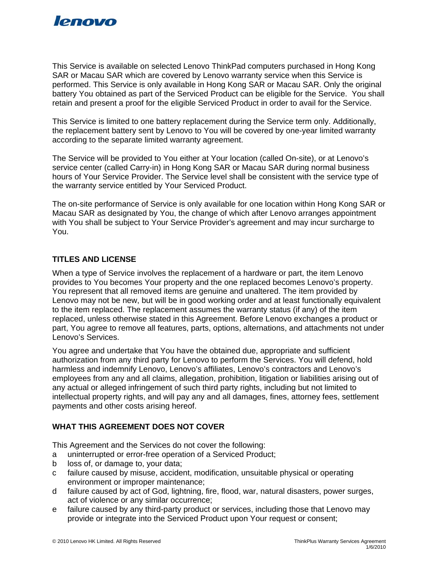

This Service is available on selected Lenovo ThinkPad computers purchased in Hong Kong SAR or Macau SAR which are covered by Lenovo warranty service when this Service is performed. This Service is only available in Hong Kong SAR or Macau SAR. Only the original battery You obtained as part of the Serviced Product can be eligible for the Service. You shall retain and present a proof for the eligible Serviced Product in order to avail for the Service.

This Service is limited to one battery replacement during the Service term only. Additionally, the replacement battery sent by Lenovo to You will be covered by one-year limited warranty according to the separate limited warranty agreement.

The Service will be provided to You either at Your location (called On-site), or at Lenovo's service center (called Carry-in) in Hong Kong SAR or Macau SAR during normal business hours of Your Service Provider. The Service level shall be consistent with the service type of the warranty service entitled by Your Serviced Product.

The on-site performance of Service is only available for one location within Hong Kong SAR or Macau SAR as designated by You, the change of which after Lenovo arranges appointment with You shall be subject to Your Service Provider's agreement and may incur surcharge to You.

## **TITLES AND LICENSE**

When a type of Service involves the replacement of a hardware or part, the item Lenovo provides to You becomes Your property and the one replaced becomes Lenovo's property. You represent that all removed items are genuine and unaltered. The item provided by Lenovo may not be new, but will be in good working order and at least functionally equivalent to the item replaced. The replacement assumes the warranty status (if any) of the item replaced, unless otherwise stated in this Agreement. Before Lenovo exchanges a product or part, You agree to remove all features, parts, options, alternations, and attachments not under Lenovo's Services.

You agree and undertake that You have the obtained due, appropriate and sufficient authorization from any third party for Lenovo to perform the Services. You will defend, hold harmless and indemnify Lenovo, Lenovo's affiliates, Lenovo's contractors and Lenovo's employees from any and all claims, allegation, prohibition, litigation or liabilities arising out of any actual or alleged infringement of such third party rights, including but not limited to intellectual property rights, and will pay any and all damages, fines, attorney fees, settlement payments and other costs arising hereof.

# **WHAT THIS AGREEMENT DOES NOT COVER**

This Agreement and the Services do not cover the following:

- a uninterrupted or error-free operation of a Serviced Product;
- b loss of, or damage to, your data;
- c failure caused by misuse, accident, modification, unsuitable physical or operating environment or improper maintenance;
- d failure caused by act of God, lightning, fire, flood, war, natural disasters, power surges, act of violence or any similar occurrence;
- e failure caused by any third-party product or services, including those that Lenovo may provide or integrate into the Serviced Product upon Your request or consent;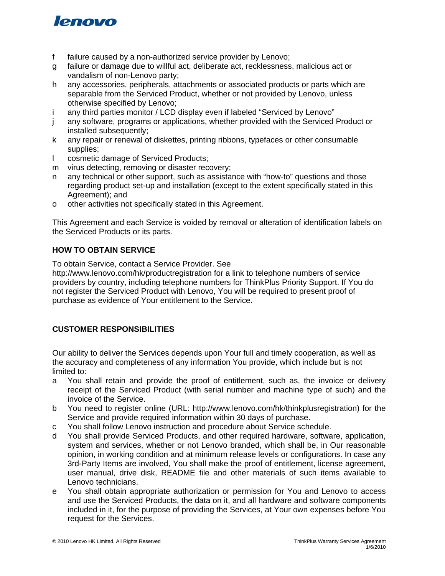

- f failure caused by a non-authorized service provider by Lenovo;
- g failure or damage due to willful act, deliberate act, recklessness, malicious act or vandalism of non-Lenovo party;
- h any accessories, peripherals, attachments or associated products or parts which are separable from the Serviced Product, whether or not provided by Lenovo, unless otherwise specified by Lenovo;
- i any third parties monitor / LCD display even if labeled "Serviced by Lenovo"
- j any software, programs or applications, whether provided with the Serviced Product or installed subsequently;
- k any repair or renewal of diskettes, printing ribbons, typefaces or other consumable supplies;
- l cosmetic damage of Serviced Products;
- m virus detecting, removing or disaster recovery;
- n any technical or other support, such as assistance with "how-to" questions and those regarding product set-up and installation (except to the extent specifically stated in this Agreement); and
- o other activities not specifically stated in this Agreement.

This Agreement and each Service is voided by removal or alteration of identification labels on the Serviced Products or its parts.

## **HOW TO OBTAIN SERVICE**

To obtain Service, contact a Service Provider. See

http://www.lenovo.com/hk/productregistration for a link to telephone numbers of service providers by country, including telephone numbers for ThinkPlus Priority Support. If You do not register the Serviced Product with Lenovo, You will be required to present proof of purchase as evidence of Your entitlement to the Service.

# **CUSTOMER RESPONSIBILITIES**

Our ability to deliver the Services depends upon Your full and timely cooperation, as well as the accuracy and completeness of any information You provide, which include but is not limited to:

- a You shall retain and provide the proof of entitlement, such as, the invoice or delivery receipt of the Serviced Product (with serial number and machine type of such) and the invoice of the Service.
- b You need to register online (URL: http://www.lenovo.com/hk/thinkplusregistration) for the Service and provide required information within 30 days of purchase.
- c You shall follow Lenovo instruction and procedure about Service schedule.
- d You shall provide Serviced Products, and other required hardware, software, application, system and services, whether or not Lenovo branded, which shall be, in Our reasonable opinion, in working condition and at minimum release levels or configurations. In case any 3rd-Party Items are involved, You shall make the proof of entitlement, license agreement, user manual, drive disk, README file and other materials of such items available to Lenovo technicians.
- e You shall obtain appropriate authorization or permission for You and Lenovo to access and use the Serviced Products, the data on it, and all hardware and software components included in it, for the purpose of providing the Services, at Your own expenses before You request for the Services.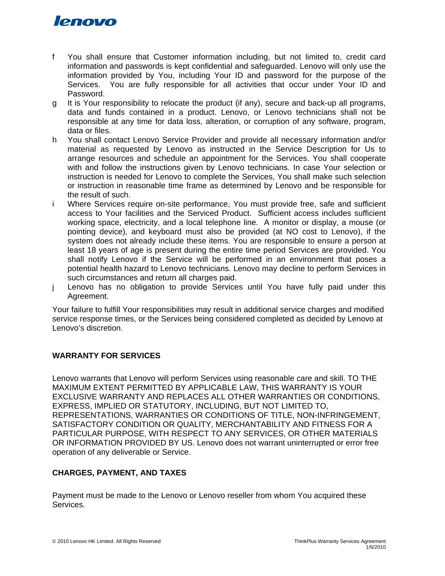# lenovo

- f You shall ensure that Customer information including, but not limited to, credit card information and passwords is kept confidential and safeguarded. Lenovo will only use the information provided by You, including Your ID and password for the purpose of the Services. You are fully responsible for all activities that occur under Your ID and Password.
- g It is Your responsibility to relocate the product (if any), secure and back-up all programs, data and funds contained in a product. Lenovo, or Lenovo technicians shall not be responsible at any time for data loss, alteration, or corruption of any software, program, data or files.
- h You shall contact Lenovo Service Provider and provide all necessary information and/or material as requested by Lenovo as instructed in the Service Description for Us to arrange resources and schedule an appointment for the Services. You shall cooperate with and follow the instructions given by Lenovo technicians. In case Your selection or instruction is needed for Lenovo to complete the Services, You shall make such selection or instruction in reasonable time frame as determined by Lenovo and be responsible for the result of such.
- i Where Services require on-site performance, You must provide free, safe and sufficient access to Your facilities and the Serviced Product. Sufficient access includes sufficient working space, electricity, and a local telephone line. A monitor or display, a mouse (or pointing device), and keyboard must also be provided (at NO cost to Lenovo), if the system does not already include these items. You are responsible to ensure a person at least 18 years of age is present during the entire time period Services are provided. You shall notify Lenovo if the Service will be performed in an environment that poses a potential health hazard to Lenovo technicians. Lenovo may decline to perform Services in such circumstances and return all charges paid.
- j Lenovo has no obligation to provide Services until You have fully paid under this Agreement.

Your failure to fulfill Your responsibilities may result in additional service charges and modified service response times, or the Services being considered completed as decided by Lenovo at Lenovo's discretion.

# **WARRANTY FOR SERVICES**

Lenovo warrants that Lenovo will perform Services using reasonable care and skill. TO THE MAXIMUM EXTENT PERMITTED BY APPLICABLE LAW, THIS WARRANTY IS YOUR EXCLUSIVE WARRANTY AND REPLACES ALL OTHER WARRANTIES OR CONDITIONS, EXPRESS, IMPLIED OR STATUTORY, INCLUDING, BUT NOT LIMITED TO, REPRESENTATIONS, WARRANTIES OR CONDITIONS OF TITLE, NON-INFRINGEMENT, SATISFACTORY CONDITION OR QUALITY, MERCHANTABILITY AND FITNESS FOR A PARTICULAR PURPOSE, WITH RESPECT TO ANY SERVICES, OR OTHER MATERIALS OR INFORMATION PROVIDED BY US. Lenovo does not warrant uninterrupted or error free operation of any deliverable or Service.

# **CHARGES, PAYMENT, AND TAXES**

Payment must be made to the Lenovo or Lenovo reseller from whom You acquired these Services.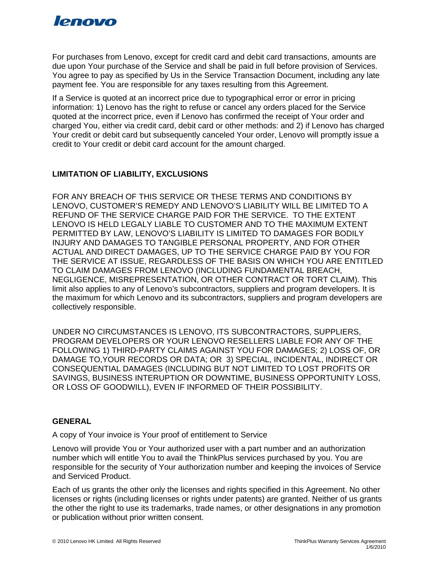

For purchases from Lenovo, except for credit card and debit card transactions, amounts are due upon Your purchase of the Service and shall be paid in full before provision of Services. You agree to pay as specified by Us in the Service Transaction Document, including any late payment fee. You are responsible for any taxes resulting from this Agreement.

If a Service is quoted at an incorrect price due to typographical error or error in pricing information: 1) Lenovo has the right to refuse or cancel any orders placed for the Service quoted at the incorrect price, even if Lenovo has confirmed the receipt of Your order and charged You, either via credit card, debit card or other methods: and 2) if Lenovo has charged Your credit or debit card but subsequently canceled Your order, Lenovo will promptly issue a credit to Your credit or debit card account for the amount charged.

# **LIMITATION OF LIABILITY, EXCLUSIONS**

FOR ANY BREACH OF THIS SERVICE OR THESE TERMS AND CONDITIONS BY LENOVO, CUSTOMER'S REMEDY AND LENOVO'S LIABILITY WILL BE LIMITED TO A REFUND OF THE SERVICE CHARGE PAID FOR THE SERVICE. TO THE EXTENT LENOVO IS HELD LEGALY LIABLE TO CUSTOMER AND TO THE MAXIMUM EXTENT PERMITTED BY LAW, LENOVO'S LIABILITY IS LIMITED TO DAMAGES FOR BODILY INJURY AND DAMAGES TO TANGIBLE PERSONAL PROPERTY, AND FOR OTHER ACTUAL AND DIRECT DAMAGES, UP TO THE SERVICE CHARGE PAID BY YOU FOR THE SERVICE AT ISSUE, REGARDLESS OF THE BASIS ON WHICH YOU ARE ENTITLED TO CLAIM DAMAGES FROM LENOVO (INCLUDING FUNDAMENTAL BREACH, NEGLIGENCE, MISREPRESENTATION, OR OTHER CONTRACT OR TORT CLAIM). This limit also applies to any of Lenovo's subcontractors, suppliers and program developers. It is the maximum for which Lenovo and its subcontractors, suppliers and program developers are collectively responsible.

UNDER NO CIRCUMSTANCES IS LENOVO, ITS SUBCONTRACTORS, SUPPLIERS, PROGRAM DEVELOPERS OR YOUR LENOVO RESELLERS LIABLE FOR ANY OF THE FOLLOWING 1) THIRD-PARTY CLAIMS AGAINST YOU FOR DAMAGES; 2) LOSS OF, OR DAMAGE TO,YOUR RECORDS OR DATA; OR 3) SPECIAL, INCIDENTAL, INDIRECT OR CONSEQUENTIAL DAMAGES (INCLUDING BUT NOT LIMITED TO LOST PROFITS OR SAVINGS, BUSINESS INTERUPTION OR DOWNTIME, BUSINESS OPPORTUNITY LOSS, OR LOSS OF GOODWILL), EVEN IF INFORMED OF THEIR POSSIBILITY.

## **GENERAL**

A copy of Your invoice is Your proof of entitlement to Service

Lenovo will provide You or Your authorized user with a part number and an authorization number which will entitle You to avail the ThinkPlus services purchased by you. You are responsible for the security of Your authorization number and keeping the invoices of Service and Serviced Product.

Each of us grants the other only the licenses and rights specified in this Agreement. No other licenses or rights (including licenses or rights under patents) are granted. Neither of us grants the other the right to use its trademarks, trade names, or other designations in any promotion or publication without prior written consent.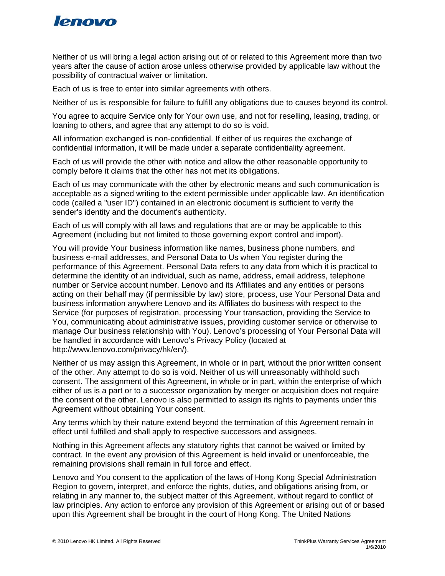

Neither of us will bring a legal action arising out of or related to this Agreement more than two years after the cause of action arose unless otherwise provided by applicable law without the possibility of contractual waiver or limitation.

Each of us is free to enter into similar agreements with others.

Neither of us is responsible for failure to fulfill any obligations due to causes beyond its control.

You agree to acquire Service only for Your own use, and not for reselling, leasing, trading, or loaning to others, and agree that any attempt to do so is void.

All information exchanged is non-confidential. If either of us requires the exchange of confidential information, it will be made under a separate confidentiality agreement.

Each of us will provide the other with notice and allow the other reasonable opportunity to comply before it claims that the other has not met its obligations.

Each of us may communicate with the other by electronic means and such communication is acceptable as a signed writing to the extent permissible under applicable law. An identification code (called a "user ID") contained in an electronic document is sufficient to verify the sender's identity and the document's authenticity.

Each of us will comply with all laws and regulations that are or may be applicable to this Agreement (including but not limited to those governing export control and import).

You will provide Your business information like names, business phone numbers, and business e-mail addresses, and Personal Data to Us when You register during the performance of this Agreement. Personal Data refers to any data from which it is practical to determine the identity of an individual, such as name, address, email address, telephone number or Service account number. Lenovo and its Affiliates and any entities or persons acting on their behalf may (if permissible by law) store, process, use Your Personal Data and business information anywhere Lenovo and its Affiliates do business with respect to the Service (for purposes of registration, processing Your transaction, providing the Service to You, communicating about administrative issues, providing customer service or otherwise to manage Our business relationship with You). Lenovo's processing of Your Personal Data will be handled in accordance with Lenovo's Privacy Policy (located at http://www.lenovo.com/privacy/hk/en/).

Neither of us may assign this Agreement, in whole or in part, without the prior written consent of the other. Any attempt to do so is void. Neither of us will unreasonably withhold such consent. The assignment of this Agreement, in whole or in part, within the enterprise of which either of us is a part or to a successor organization by merger or acquisition does not require the consent of the other. Lenovo is also permitted to assign its rights to payments under this Agreement without obtaining Your consent.

Any terms which by their nature extend beyond the termination of this Agreement remain in effect until fulfilled and shall apply to respective successors and assignees.

Nothing in this Agreement affects any statutory rights that cannot be waived or limited by contract. In the event any provision of this Agreement is held invalid or unenforceable, the remaining provisions shall remain in full force and effect.

Lenovo and You consent to the application of the laws of Hong Kong Special Administration Region to govern, interpret, and enforce the rights, duties, and obligations arising from, or relating in any manner to, the subject matter of this Agreement, without regard to conflict of law principles. Any action to enforce any provision of this Agreement or arising out of or based upon this Agreement shall be brought in the court of Hong Kong. The United Nations